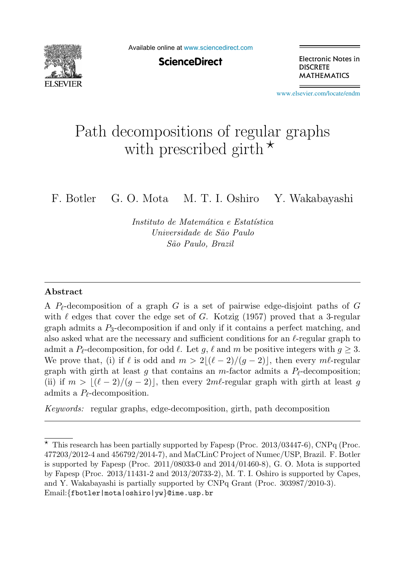

Available online at [www.sciencedirect.com](http://www.sciencedirect.com)

**ScienceDirect** 

Electronic Notes in **DISCRETE MATHEMATICS** 

[www.elsevier.com/locate/endm](http://www.elsevier.com/locate/endm)

# Path decompositions of regular graphs with prescribed girth  $\star$

F. Botler G. O. Mota M. T. I. Oshiro Y. Wakabayashi

Instituto de Matemática e Estatística Universidade de S˜ao Paulo S˜ao Paulo, Brazil

#### **Abstract**

A  $P_{\ell}$ -decomposition of a graph G is a set of pairwise edge-disjoint paths of G with  $\ell$  odges that gover the edge set of G. Kotzig (1957) proved that a 3 regular with  $\ell$  edges that cover the edge set of G. Kotzig (1957) proved that a 3-regular graph admits a  $P_2$  decomposition if and only if it contains a perfect matching, and graph admits a  $P_3$ -decomposition if and only if it contains a perfect matching, and also asked what are the necessary and sufficient conditions for an  $\ell$ -regular graph to admit a  $P_{\ell}$  decomposition for odd  $\ell$ . Let  $a_{\ell}$  and m be positive integers with  $a > 3$ . admit a  $P_{\ell}$ -decomposition, for odd  $\ell$ . Let  $g, \ell$  and  $m$  be positive integers with  $g \geq 3$ .<br>We prove that (i) if  $\ell$  is odd and  $m > 2! (\ell - 2)! (g - 2)!$  then every  $m\ell$  regular We prove that, (i) if  $\ell$  is odd and  $m > 2\lfloor (\ell-2)/(g-2) \rfloor$ , then every m $\ell$ -regular graph with girth at least  $\ell$  that contains an  $m$  factor admits a  $P_{\ell}$  decomposition: graph with girth at least g that contains an m-factor admits a  $P_{\ell}$ -decomposition;<br>(ii) if  $m > 1(\ell - 2)/(\ell - 2)$  then every  $2m\ell$  regular graph with girth at least g (ii) if  $m > \lfloor (\ell - 2)/(g - 2) \rfloor$ , then every  $2m\ell$ -regular graph with girth at least g<br>admits a  $P_{\ell}$  deconnosition admits a  $P_{\ell}$ -decomposition.

Keywords: regular graphs, edge-decomposition, girth, path decomposition

 $\star$  This research has been partially supported by Fapesp (Proc. 2013/03447-6), CNPq (Proc. 477203/2012-4 and 456792/2014-7), and MaCLinC Project of Numec/USP, Brazil. F. Botler is supported by Fapesp (Proc. 2011/08033-0 and 2014/01460-8), G. O. Mota is supported by Fapesp (Proc. 2013/11431-2 and 2013/20733-2), M. T. I. Oshiro is supported by Capes, and Y. Wakabayashi is partially supported by CNPq Grant (Proc. 303987/2010-3). Email:{fbotler|mota|oshiro|yw}@ime.usp.br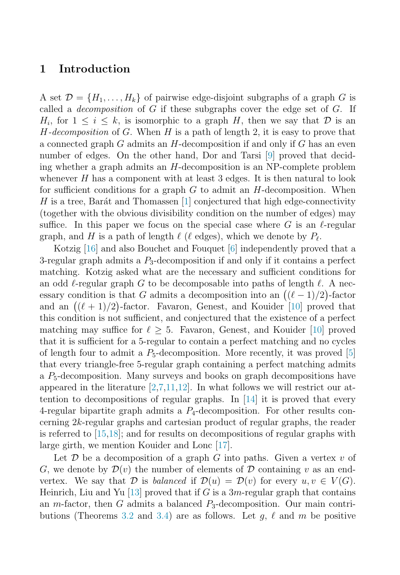#### <span id="page-1-0"></span>**1 Introduction**

A set  $\mathcal{D} = \{H_1, \ldots, H_k\}$  of pairwise edge-disjoint subgraphs of a graph G is called a *decomposition* of  $G$  if these subgraphs cover the edge set of  $G$ . If  $H_i$ , for  $1 \leq i \leq k$ , is isomorphic to a graph H, then we say that D is an  $H$ -decomposition of G. When H is a path of length 2, it is easy to prove that a connected graph  $G$  admits an  $H$ -decomposition if and only if  $G$  has an even number of edges. On the other hand, Dor and Tarsi [\[9\]](#page-7-0) proved that deciding whether a graph admits an H-decomposition is an NP-complete problem whenever  $H$  has a component with at least 3 edges. It is then natural to look for sufficient conditions for a graph  $G$  to admit an  $H$ -decomposition. When H is a tree, Barát and Thomassen  $[1]$  conjectured that high edge-connectivity (together with the obvious divisibility condition on the number of edges) may suffice. In this paper we focus on the special case where G is an  $\ell$ -regular graph, and H is a path of length  $\ell$  ( $\ell$  edges), which we denote by  $P_{\ell}$ .

Kotzig [\[16\]](#page-7-0) and also Bouchet and Fouquet [\[6\]](#page-7-0) independently proved that a 3-regular graph admits a  $P_3$ -decomposition if and only if it contains a perfect matching. Kotzig asked what are the necessary and sufficient conditions for an odd  $\ell$ -regular graph G to be decomposable into paths of length  $\ell$ . A necessary condition is that G admits a decomposition into an  $((\ell-1)/2)$ -factor and an  $((\ell + 1)/2)$ -factor. Favaron, Genest, and Kouider [\[10\]](#page-7-0) proved that this condition is not sufficient, and conjectured that the existence of a perfect matching may suffice for  $\ell > 5$ . Favaron, Genest, and Kouider [\[10\]](#page-7-0) proved that it is sufficient for a 5-regular to contain a perfect matching and no cycles of length four to admit a  $P_5$ -decomposition. More recently, it was proved [\[5\]](#page-6-0) that every triangle-free 5-regular graph containing a perfect matching admits a  $P_5$ -decomposition. Many surveys and books on graph decompositions have appeared in the literature  $[2,7,11,12]$  $[2,7,11,12]$ . In what follows we will restrict our attention to decompositions of regular graphs. In [\[14\]](#page-7-0) it is proved that every 4-regular bipartite graph admits a  $P_4$ -decomposition. For other results concerning 2k-regular graphs and cartesian product of regular graphs, the reader is referred to [\[15,18\]](#page-7-0); and for results on decompositions of regular graphs with large girth, we mention Kouider and Lonc [\[17\]](#page-7-0).

Let  $\mathcal D$  be a decomposition of a graph G into paths. Given a vertex v of G, we denote by  $\mathcal{D}(v)$  the number of elements of D containing v as an endvertex. We say that D is balanced if  $\mathcal{D}(u) = \mathcal{D}(v)$  for every  $u, v \in V(G)$ . Heinrich, Liu and Yu [\[13\]](#page-7-0) proved that if G is a  $3m$ -regular graph that contains an *m*-factor, then G admits a balanced  $P_3$ -decomposition. Our main contri-butions (Theorems [3.2](#page-5-0) and [3.4\)](#page-6-0) are as follows. Let  $g, \ell$  and  $m$  be positive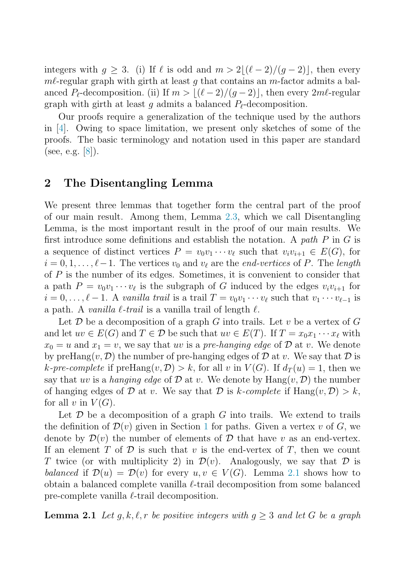<span id="page-2-0"></span>integers with  $q > 3$ . (i) If  $\ell$  is odd and  $m > 2/(\ell - 2)/(\ell - 2)$ , then every  $m\ell$ -regular graph with girth at least q that contains an m-factor admits a balanced  $P_{\ell}$ -decomposition. (ii) If  $m > \lfloor (\ell-2)/(g-2) \rfloor$ , then every  $2m\ell$ -regular graph with girth at least  $g$  admits a balanced  $P_{\ell}$ -decomposition.

Our proofs require a generalization of the technique used by the authors in [\[4\]](#page-6-0). Owing to space limitation, we present only sketches of some of the proofs. The basic terminology and notation used in this paper are standard (see, e.g.  $|8|$ ).

#### **2 The Disentangling Lemma**

We present three lemmas that together form the central part of the proof of our main result. Among them, Lemma [2.3,](#page-4-0) which we call Disentangling Lemma, is the most important result in the proof of our main results. We first introduce some definitions and establish the notation. A path  $P$  in  $G$  is a sequence of distinct vertices  $P = v_0v_1 \cdots v_\ell$  such that  $v_i v_{i+1} \in E(G)$ , for  $i = 0, 1, \ldots, \ell - 1$ . The vertices  $v_0$  and  $v_\ell$  are the *end-vertices* of P. The *length* of P is the number of its edges. Sometimes, it is convenient to consider that a path  $P = v_0 v_1 \cdots v_\ell$  is the subgraph of G induced by the edges  $v_i v_{i+1}$  for  $i = 0, \ldots, \ell - 1$ . A vanilla trail is a trail  $T = v_0 v_1 \cdots v_\ell$  such that  $v_1 \cdots v_{\ell-1}$  is a path. A vanilla  $\ell$ -trail is a vanilla trail of length  $\ell$ .

Let  $\mathcal D$  be a decomposition of a graph  $G$  into trails. Let  $v$  be a vertex of  $G$ and let  $uv \in E(G)$  and  $T \in \mathcal{D}$  be such that  $uv \in E(T)$ . If  $T = x_0 x_1 \cdots x_\ell$  with  $x_0 = u$  and  $x_1 = v$ , we say that uv is a pre-hanging edge of  $D$  at v. We denote by preHang $(v, \mathcal{D})$  the number of pre-hanging edges of  $\mathcal D$  at v. We say that  $\mathcal D$  is k-pre-complete if preHang $(v, \mathcal{D}) > k$ , for all v in  $V(G)$ . If  $d_T(u) = 1$ , then we say that uv is a hanging edge of  $\mathcal D$  at v. We denote by  $\text{Hang}(v, \mathcal D)$  the number of hanging edges of D at v. We say that D is k-complete if  $\text{Hang}(v, \mathcal{D}) > k$ , for all v in  $V(G)$ .

Let  $\mathcal D$  be a decomposition of a graph  $G$  into trails. We extend to trails the definition of  $\mathcal{D}(v)$  given in Section [1](#page-1-0) for paths. Given a vertex v of G, we denote by  $\mathcal{D}(v)$  the number of elements of  $\mathcal D$  that have v as an end-vertex. If an element T of  $\mathcal D$  is such that v is the end-vertex of T, then we count T twice (or with multiplicity 2) in  $\mathcal{D}(v)$ . Analogously, we say that D is balanced if  $\mathcal{D}(u) = \mathcal{D}(v)$  for every  $u, v \in V(G)$ . Lemma 2.1 shows how to obtain a balanced complete vanilla  $\ell$ -trail decomposition from some balanced pre-complete vanilla  $\ell$ -trail decomposition.

**Lemma 2.1** Let  $g, k, \ell, r$  be positive integers with  $g \geq 3$  and let G be a graph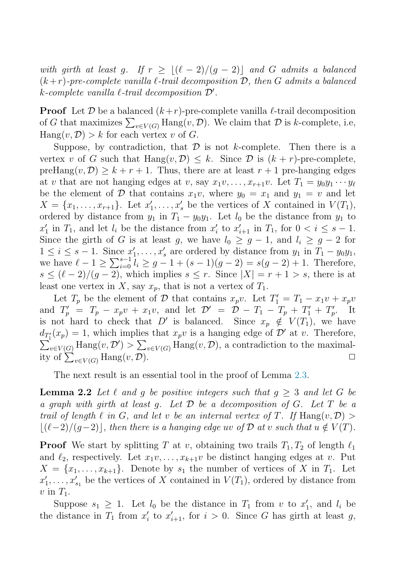<span id="page-3-0"></span>with girth at least g. If  $r \geq |(\ell-2)/(g-2)|$  and G admits a balanced  $(k + r)$ -pre-complete vanilla  $\ell$ -trail decomposition  $\mathcal{D}$ , then G admits a balanced  $k$ -complete vanilla  $\ell$ -trail decomposition  $\mathcal{D}'$ .

**Proof** Let  $\mathcal{D}$  be a balanced  $(k+r)$ -pre-complete vanilla  $\ell$ -trail decomposition of G that maximizes  $\sum_{v \in V(G)} \text{hang}(v, \mathcal{D})$ . We claim that  $\mathcal D$  is k-complete, i.e,  $\text{Hang}(v, \mathcal{D}) > k$  for each vertex v of G.

Suppose, by contradiction, that  $D$  is not k-complete. Then there is a vertex v of G such that  $\text{Hang}(v, \mathcal{D}) \leq k$ . Since  $\mathcal{D}$  is  $(k + r)$ -pre-complete, preHang $(v, \mathcal{D}) \geq k + r + 1$ . Thus, there are at least  $r + 1$  pre-hanging edges at v that are not hanging edges at v, say  $x_1v, \ldots, x_{r+1}v$ . Let  $T_1 = y_0y_1 \cdots y_\ell$ be the element of D that contains  $x_1v$ , where  $y_0 = x_1$  and  $y_1 = v$  and let  $X = \{x_1, \ldots, x_{r+1}\}.$  Let  $x'_1, \ldots, x'_s$  be the vertices of X contained in  $V(T_1)$ , ordered by distance from  $y_1$  in  $T_1 - y_0y_1$ . Let  $l_0$  be the distance from  $y_1$  to  $x'_1$  in  $T_1$ , and let  $l_i$  be the distance from  $x'_i$  to  $x'_{i+1}$  in  $T_1$ , for  $0 < i \leq s-1$ . Since the girth of G is at least g, we have  $l_0 \geq g - 1$ , and  $l_i \geq g - 2$  for  $1 \leq i \leq s-1$ . Since  $x'_1, \ldots, x'_s$  are ordered by distance from  $y_1$  in  $T_1 - y_0y_1$ , we have  $\ell - 1 \ge \sum_{i=0}^{s-1} l_i \ge g - 1 + (s-1)(g-2) = s(g-2) + 1$ . Therefore,  $s \leq (\ell-2)/(g-2)$ , which implies  $s \leq r$ . Since  $|X| = r+1 > s$ , there is at least one vertex in X, say  $x_p$ , that is not a vertex of  $T_1$ .

Let  $T_p$  be the element of  $\mathcal D$  that contains  $x_pv$ . Let  $T'_1 = T_1 - x_1v + x_pv$ and  $T'_{p} = T_{p} - x_{p}v + x_{1}v$ , and let  $\mathcal{D}' = \mathcal{D} - T_{1} - T_{p} + T'_{1} + T'_{p}$ . It is not hard to check that D' is balanced. Since  $x_p \notin V(T_1)$ , we have  $d_{T_1'}(x_p) = 1$ , which implies that  $x_p v$  is a hanging edge of  $\mathcal{D}'$  at v. Therefore,  $\sum_{v \in V(G)} \text{hang}(v, \mathcal{D}') > \sum_{v \in V(G)} \text{hang}(v, \mathcal{D}),$  a contradiction to the maximality of  $\sum_{v \in V(G)}$  Hang $(v, \mathcal{D})$ .

The next result is an essential tool in the proof of Lemma [2.3.](#page-4-0)

**Lemma 2.2** Let  $\ell$  and g be positive integers such that  $g \geq 3$  and let G be a graph with girth at least g. Let  $D$  be a decomposition of  $G$ . Let  $T$  be a trail of length  $\ell$  in G, and let v be an internal vertex of T. If  $\text{Hang}(v, \mathcal{D})$  $|(\ell-2)/(g-2)|$ , then there is a hanging edge uv of D at v such that  $u \notin V(T)$ .

**Proof** We start by splitting T at v, obtaining two trails  $T_1, T_2$  of length  $\ell_1$ and  $\ell_2$ , respectively. Let  $x_1v,\ldots,x_{k+1}v$  be distinct hanging edges at v. Put  $X = \{x_1, \ldots, x_{k+1}\}.$  Denote by  $s_1$  the number of vertices of X in  $T_1$ . Let  $x'_1, \ldots, x'_{s_1}$  be the vertices of X contained in  $V(T_1)$ , ordered by distance from  $v$  in  $T_1$ .

Suppose  $s_1 \geq 1$ . Let  $l_0$  be the distance in  $T_1$  from v to  $x'_1$ , and  $l_i$  be the distance in  $T_1$  from  $x'_i$  to  $x'_{i+1}$ , for  $i > 0$ . Since G has girth at least g,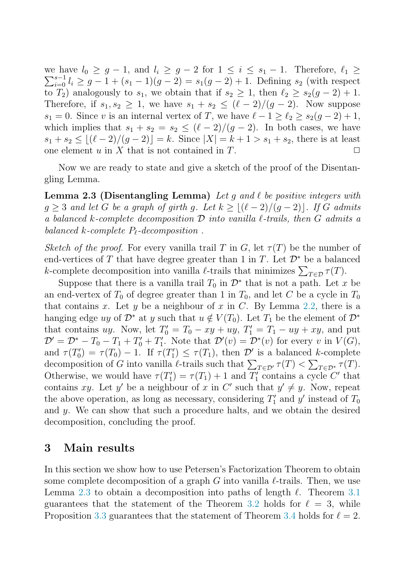<span id="page-4-0"></span>we have  $l_0 \geq g-1$ , and  $l_0 \geq 1$ we have  $l_0 \ge g - 1$ , and  $l_i \ge g - 2$  for  $1 \le i \le s_1 - 1$ . Therefore,  $\ell_1 \ge \sum_{i=0}^{s-1} l_i \ge g - 1 + (s_1 - 1)(g - 2) = s_1(g - 2) + 1$ . Defining  $s_2$  (with respect to  $T_2$ ) analogously to  $s_1$ , we obtain that if  $s_2 \geq 1$ , then  $\ell_2 \geq s_2(g-2)+1$ . Therefore, if  $s_1, s_2 \geq 1$ , we have  $s_1 + s_2 \leq (\ell - 2)/(g - 2)$ . Now suppose  $s_1 = 0$ . Since v is an internal vertex of T, we have  $\ell - 1 > \ell_2 > s_2(q - 2) + 1$ , which implies that  $s_1 + s_2 = s_2 \leq (\ell - 2)/(g - 2)$ . In both cases, we have  $s_1 + s_2 \leq \lfloor (\ell - 2)/(g - 2) \rfloor = k$ . Since  $|X| = k + 1 > s_1 + s_2$ , there is at least one element u in X that is not contained in T one element  $u$  in  $X$  that is not contained in  $T$ .

Now we are ready to state and give a sketch of the proof of the Disentangling Lemma.

**Lemma 2.3 (Disentangling Lemma)** Let q and  $\ell$  be positive integers with  $q > 3$  and let G be a graph of girth q. Let  $k > |(\ell - 2)/({q - 2})|$ . If G admits a balanced k-complete decomposition  $\mathcal D$  into vanilla  $\ell$ -trails, then  $G$  admits a balanced  $k$ -complete  $P_{\ell}$ -decomposition.

Sketch of the proof. For every vanilla trail T in G, let  $\tau(T)$  be the number of end-vertices of T that have degree greater than 1 in T. Let  $\mathcal{D}^*$  be a balanced k-complete decomposition into vanilla  $\ell$ -trails that minimizes  $\sum_{T \in \mathcal{D}} \tau(T)$ .

Suppose that there is a vanilla trail  $T_0$  in  $\mathcal{D}^*$  that is not a path. Let x be an end-vertex of  $T_0$  of degree greater than 1 in  $T_0$ , and let C be a cycle in  $T_0$ that contains x. Let y be a neighbour of x in C. By Lemma [2.2,](#page-3-0) there is a hanging edge uy of  $\mathcal{D}^*$  at y such that  $u \notin V(T_0)$ . Let  $T_1$  be the element of  $\mathcal{D}^*$ that contains uy. Now, let  $T'_0 = T_0 - xy + uy$ ,  $T'_1 = T_1 - uy + xy$ , and put  $\mathcal{D}' = \mathcal{D}^* - T_0 - T_1 + T_0' + T_1'$ . Note that  $\mathcal{D}'(v) = \mathcal{D}^*(v)$  for every v in  $V(G)$ , and  $\tau(T_0') = \tau(T_0) - 1$ . If  $\tau(T_1') \leq \tau(T_1)$ , then  $\mathcal{D}'$  is a balanced k-complete decomposition of G into vanilla  $\ell$ -trails such that  $\sum_{T \in \mathcal{D}'} \tau(T) < \sum_{T \in \mathcal{D}^*} \tau(T)$ . Otherwise, we would have  $\tau(T_1') = \tau(T_1) + 1$  and  $T_1'$  contains a cycle C' that contains xy. Let y' be a neighbour of x in C' such that  $y' \neq y$ . Now, repeat the above operation, as long as necessary, considering  $T_1'$  and  $y'$  instead of  $T_0$ and y. We can show that such a procedure halts, and we obtain the desired decomposition, concluding the proof.

#### **3 Main results**

In this section we show how to use Petersen's Factorization Theorem to obtain some complete decomposition of a graph G into vanilla  $\ell$ -trails. Then, we use Lemma 2.3 to obtain a decomposition into paths of length  $\ell$ . Theorem [3.1](#page-5-0) guarantees that the statement of the Theorem [3.2](#page-5-0) holds for  $\ell = 3$ , while Proposition [3.3](#page-5-0) guarantees that the statement of Theorem [3.4](#page-6-0) holds for  $\ell = 2$ .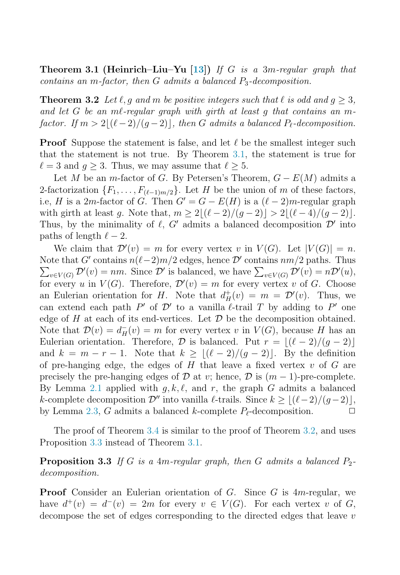<span id="page-5-0"></span>**Theorem 3.1 (Heinrich–Liu–Yu [\[13\]](#page-7-0))** If G is a 3m-regular graph that contains an m-factor, then  $G$  admits a balanced  $P_3$ -decomposition.

**Theorem 3.2** Let  $\ell$ , g and m be positive integers such that  $\ell$  is odd and  $g \geq 3$ , and let G be an me-regular graph with girth at least q that contains an mfactor. If  $m > 2 \lfloor (\ell-2)/(g-2) \rfloor$ , then G admits a balanced  $P_{\ell}$ -decomposition.

**Proof** Suppose the statement is false, and let  $\ell$  be the smallest integer such that the statement is not true. By Theorem 3.1, the statement is true for  $\ell = 3$  and  $q > 3$ . Thus, we may assume that  $\ell > 5$ .

Let M be an m-factor of G. By Petersen's Theorem,  $G - E(M)$  admits a 2-factorization  $\{F_1, \ldots, F_{(\ell-1)m/2}\}\)$ . Let H be the union of m of these factors, i.e, H is a 2m-factor of G. Then  $G' = G - E(H)$  is a  $(\ell - 2)m$ -regular graph with girth at least q. Note that,  $m > 2|(\ell-2)/(q-2)| > 2|(\ell-4)/(q-2)|$ . Thus, by the minimality of  $\ell$ , G' admits a balanced decomposition  $\mathcal{D}'$  into paths of length  $\ell - 2$ .

We claim that  $\mathcal{D}'(v) = m$  for every vertex v in  $V(G)$ . Let  $|V(G)| = n$ . Note that  $G'$  contains  $n(\ell-2)m/2$  edges, hence  $\mathcal{D}'$  contains  $nm/2$  paths. Thus  $\sum_{v \in V(G)} \mathcal{D}'(v) = nm$ . Since  $\mathcal{D}'$  is balanced, we have  $\sum_{v \in V(G)} \mathcal{D}'(v) = n \mathcal{D}'(u)$ , for every u in  $V(G)$ . Therefore,  $\mathcal{D}'(v) = m$  for every vertex v of G. Choose an Eulerian orientation for H. Note that  $d^+_H(v) = m = \mathcal{D}'(v)$ . Thus, we can extend each path  $P'$  of  $\mathcal{D}'$  to a vanilla  $\ell$ -trail  $T$  by adding to  $P'$  one edge of H at each of its end-vertices. Let  $\mathcal D$  be the decomposition obtained. Note that  $\mathcal{D}(v) = d_H^-(v) = m$  for every vertex v in  $V(G)$ , because H has an Eulerian orientation. Therefore,  $\mathcal D$  is balanced. Put  $r = |(\ell - 2)/(g - 2)|$ and  $k = m - r - 1$ . Note that  $k \geq \lfloor (\ell - 2)/(g - 2) \rfloor$ . By the definition of pre-hanging edge, the edges of  $H$  that leave a fixed vertex  $v$  of  $G$  are precisely the pre-hanging edges of  $\mathcal D$  at v; hence,  $\mathcal D$  is  $(m-1)$ -pre-complete. By Lemma [2.1](#page-2-0) applied with  $g, k, \ell$ , and r, the graph G admits a balanced k-complete decomposition  $\mathcal{D}''$  into vanilla  $\ell$ -trails. Since  $k \geq \lfloor (\ell-2)/(g-2) \rfloor$ , by Lemma [2.3,](#page-4-0) G admits a balanced k-complete  $P_{\ell}$ -decomposition.  $\Box$ 

The proof of Theorem [3.4](#page-6-0) is similar to the proof of Theorem 3.2, and uses Proposition 3.3 instead of Theorem 3.1.

**Proposition 3.3** If G is a 4m-regular graph, then G admits a balanced  $P_2$ decomposition.

**Proof** Consider an Eulerian orientation of G. Since G is 4m-regular, we have  $d^+(v) = d^-(v) = 2m$  for every  $v \in V(G)$ . For each vertex v of G, decompose the set of edges corresponding to the directed edges that leave v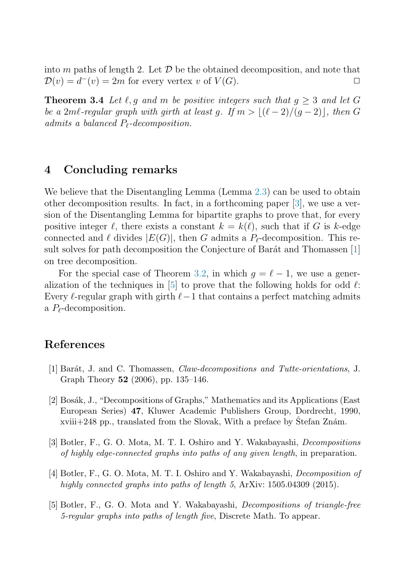<span id="page-6-0"></span>into *m* paths of length 2. Let *D* be the obtained decomposition, and note that  $\mathcal{D}(v) = d^-(v) = 2m$  for every vertex *v* of  $V(G)$  $\mathcal{D}(v) = d^-(v) = 2m$  for every vertex v of  $V(G)$ .

**Theorem 3.4** Let  $\ell, q$  and m be positive integers such that  $q > 3$  and let G be a 2ml-regular graph with girth at least g. If  $m > |(\ell - 2)/(g - 2)|$ , then G admits a balanced  $P_{\ell}$ -decomposition.

### **4 Concluding remarks**

We believe that the Disentangling Lemma (Lemma [2.3\)](#page-4-0) can be used to obtain other decomposition results. In fact, in a forthcoming paper [3], we use a version of the Disentangling Lemma for bipartite graphs to prove that, for every positive integer  $\ell$ , there exists a constant  $k = k(\ell)$ , such that if G is k-edge connected and  $\ell$  divides  $|E(G)|$ , then G admits a  $P_{\ell}$ -decomposition. This result solves for path decomposition the Conjecture of Barát and Thomassen [1] on tree decomposition.

For the special case of Theorem [3.2,](#page-5-0) in which  $q = \ell - 1$ , we use a generalization of the techniques in [5] to prove that the following holds for odd  $\ell$ : Every  $\ell$ -regular graph with girth  $\ell-1$  that contains a perfect matching admits a  $P_{\ell}$ -decomposition.

## **References**

- [1] Barát, J. and C. Thomassen, *Claw-decompositions and Tutte-orientations*, J. Graph Theory **52** (2006), pp. 135–146.
- [2] Bosák, J., "Decompositions of Graphs," Mathematics and its Applications (East European Series) **47**, Kluwer Academic Publishers Group, Dordrecht, 1990, xviii+248 pp., translated from the Slovak, With a preface by Stefan Znám.
- [3] Botler, F., G. O. Mota, M. T. I. Oshiro and Y. Wakabayashi, Decompositions of highly edge-connected graphs into paths of any given length, in preparation.
- [4] Botler, F., G. O. Mota, M. T. I. Oshiro and Y. Wakabayashi, Decomposition of highly connected graphs into paths of length 5, ArXiv: 1505.04309 (2015).
- [5] Botler, F., G. O. Mota and Y. Wakabayashi, Decompositions of triangle-free 5-regular graphs into paths of length five, Discrete Math. To appear.